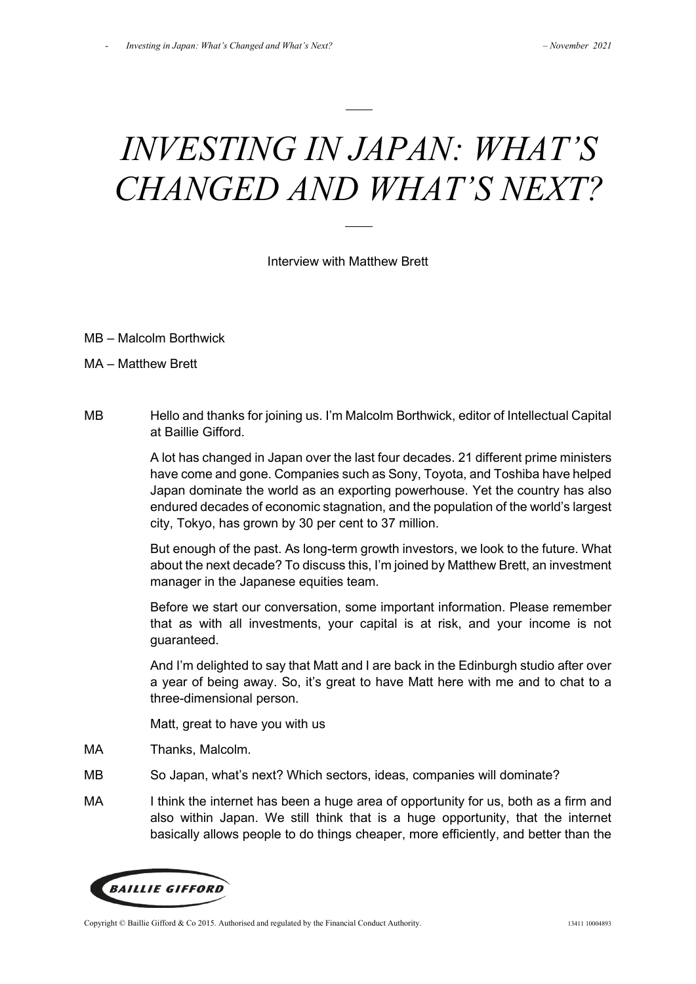# *INVESTING IN JAPAN: WHAT'S CHANGED AND WHAT'S NEXT?*

Interview with Matthew Brett

- MB Malcolm Borthwick
- MA Matthew Brett
- MB Hello and thanks for joining us. I'm Malcolm Borthwick, editor of Intellectual Capital at Baillie Gifford.

A lot has changed in Japan over the last four decades. 21 different prime ministers have come and gone. Companies such as Sony, Toyota, and Toshiba have helped Japan dominate the world as an exporting powerhouse. Yet the country has also endured decades of economic stagnation, and the population of the world's largest city, Tokyo, has grown by 30 per cent to 37 million.

But enough of the past. As long-term growth investors, we look to the future. What about the next decade? To discuss this, I'm joined by Matthew Brett, an investment manager in the Japanese equities team.

Before we start our conversation, some important information. Please remember that as with all investments, your capital is at risk, and your income is not guaranteed.

And I'm delighted to say that Matt and I are back in the Edinburgh studio after over a year of being away. So, it's great to have Matt here with me and to chat to a three-dimensional person.

Matt, great to have you with us

- MA Thanks, Malcolm.
- MB So Japan, what's next? Which sectors, ideas, companies will dominate?
- MA I think the internet has been a huge area of opportunity for us, both as a firm and also within Japan. We still think that is a huge opportunity, that the internet basically allows people to do things cheaper, more efficiently, and better than the



Copyright © Baillie Gifford & Co 2015. Authorised and regulated by the Financial Conduct Authority. 13411 10004893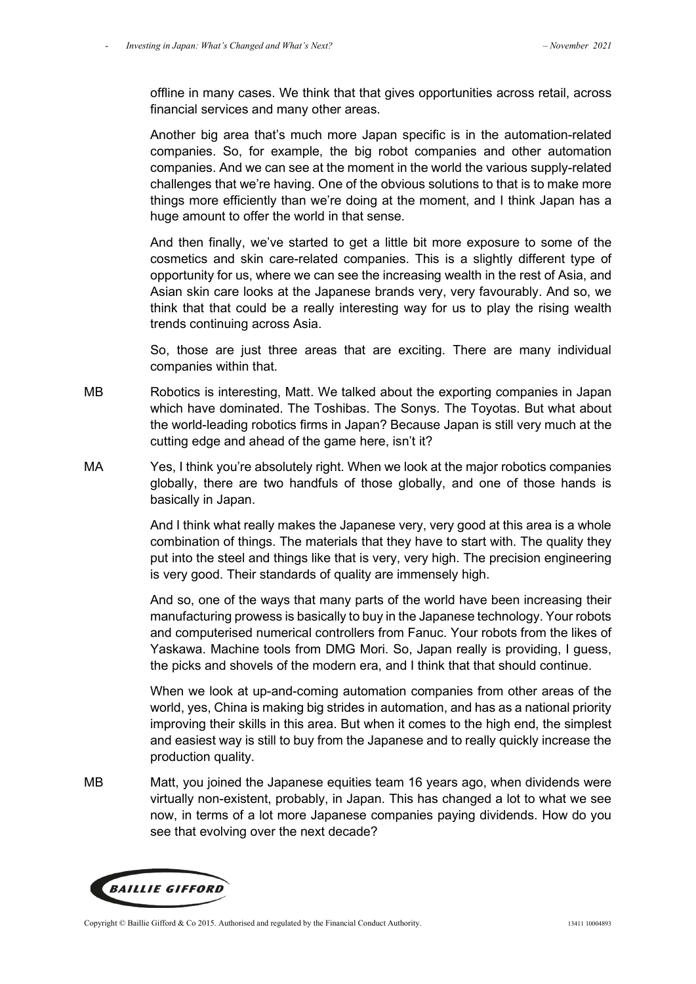offline in many cases. We think that that gives opportunities across retail, across financial services and many other areas.

Another big area that's much more Japan specific is in the automation-related companies. So, for example, the big robot companies and other automation companies. And we can see at the moment in the world the various supply-related challenges that we're having. One of the obvious solutions to that is to make more things more efficiently than we're doing at the moment, and I think Japan has a huge amount to offer the world in that sense.

And then finally, we've started to get a little bit more exposure to some of the cosmetics and skin care-related companies. This is a slightly different type of opportunity for us, where we can see the increasing wealth in the rest of Asia, and Asian skin care looks at the Japanese brands very, very favourably. And so, we think that that could be a really interesting way for us to play the rising wealth trends continuing across Asia.

So, those are just three areas that are exciting. There are many individual companies within that.

- MB Robotics is interesting, Matt. We talked about the exporting companies in Japan which have dominated. The Toshibas. The Sonys. The Toyotas. But what about the world-leading robotics firms in Japan? Because Japan is still very much at the cutting edge and ahead of the game here, isn't it?
- MA Yes, I think you're absolutely right. When we look at the major robotics companies globally, there are two handfuls of those globally, and one of those hands is basically in Japan.

And I think what really makes the Japanese very, very good at this area is a whole combination of things. The materials that they have to start with. The quality they put into the steel and things like that is very, very high. The precision engineering is very good. Their standards of quality are immensely high.

And so, one of the ways that many parts of the world have been increasing their manufacturing prowess is basically to buy in the Japanese technology. Your robots and computerised numerical controllers from Fanuc. Your robots from the likes of Yaskawa. Machine tools from DMG Mori. So, Japan really is providing, I guess, the picks and shovels of the modern era, and I think that that should continue.

When we look at up-and-coming automation companies from other areas of the world, yes, China is making big strides in automation, and has as a national priority improving their skills in this area. But when it comes to the high end, the simplest and easiest way is still to buy from the Japanese and to really quickly increase the production quality.

MB Matt, you joined the Japanese equities team 16 years ago, when dividends were virtually non-existent, probably, in Japan. This has changed a lot to what we see now, in terms of a lot more Japanese companies paying dividends. How do you see that evolving over the next decade?

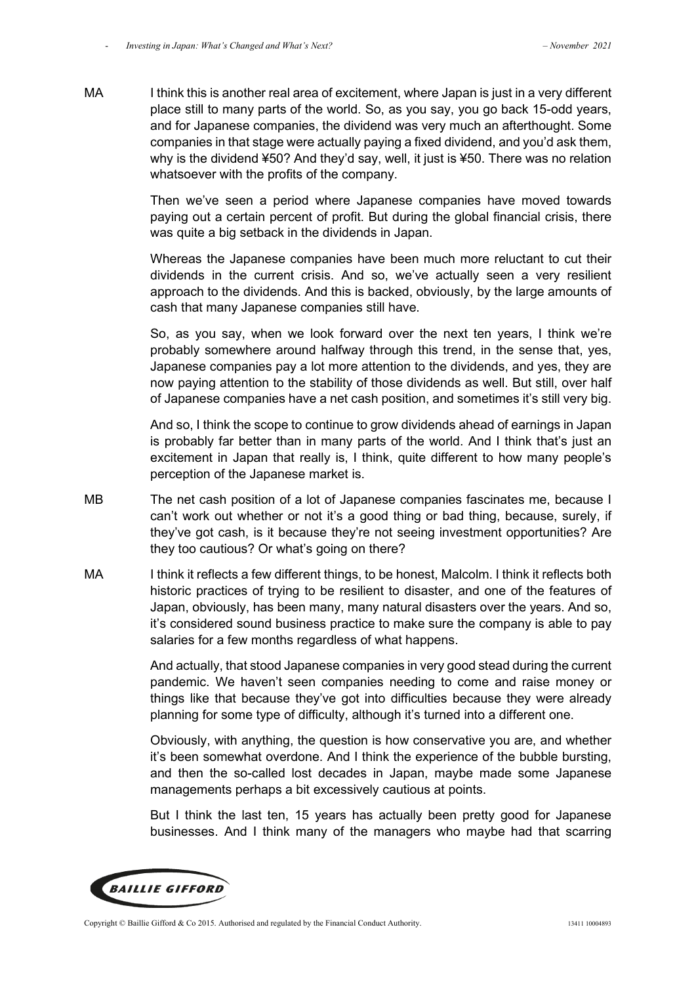MA I think this is another real area of excitement, where Japan is just in a very different place still to many parts of the world. So, as you say, you go back 15-odd years, and for Japanese companies, the dividend was very much an afterthought. Some companies in that stage were actually paying a fixed dividend, and you'd ask them, why is the dividend ¥50? And they'd say, well, it just is ¥50. There was no relation whatsoever with the profits of the company.

> Then we've seen a period where Japanese companies have moved towards paying out a certain percent of profit. But during the global financial crisis, there was quite a big setback in the dividends in Japan.

> Whereas the Japanese companies have been much more reluctant to cut their dividends in the current crisis. And so, we've actually seen a very resilient approach to the dividends. And this is backed, obviously, by the large amounts of cash that many Japanese companies still have.

> So, as you say, when we look forward over the next ten years, I think we're probably somewhere around halfway through this trend, in the sense that, yes, Japanese companies pay a lot more attention to the dividends, and yes, they are now paying attention to the stability of those dividends as well. But still, over half of Japanese companies have a net cash position, and sometimes it's still very big.

> And so, I think the scope to continue to grow dividends ahead of earnings in Japan is probably far better than in many parts of the world. And I think that's just an excitement in Japan that really is, I think, quite different to how many people's perception of the Japanese market is.

- MB The net cash position of a lot of Japanese companies fascinates me, because I can't work out whether or not it's a good thing or bad thing, because, surely, if they've got cash, is it because they're not seeing investment opportunities? Are they too cautious? Or what's going on there?
- MA I think it reflects a few different things, to be honest, Malcolm. I think it reflects both historic practices of trying to be resilient to disaster, and one of the features of Japan, obviously, has been many, many natural disasters over the years. And so, it's considered sound business practice to make sure the company is able to pay salaries for a few months regardless of what happens.

 And actually, that stood Japanese companies in very good stead during the current pandemic. We haven't seen companies needing to come and raise money or things like that because they've got into difficulties because they were already planning for some type of difficulty, although it's turned into a different one.

 Obviously, with anything, the question is how conservative you are, and whether it's been somewhat overdone. And I think the experience of the bubble bursting, and then the so-called lost decades in Japan, maybe made some Japanese managements perhaps a bit excessively cautious at points.

 But I think the last ten, 15 years has actually been pretty good for Japanese businesses. And I think many of the managers who maybe had that scarring

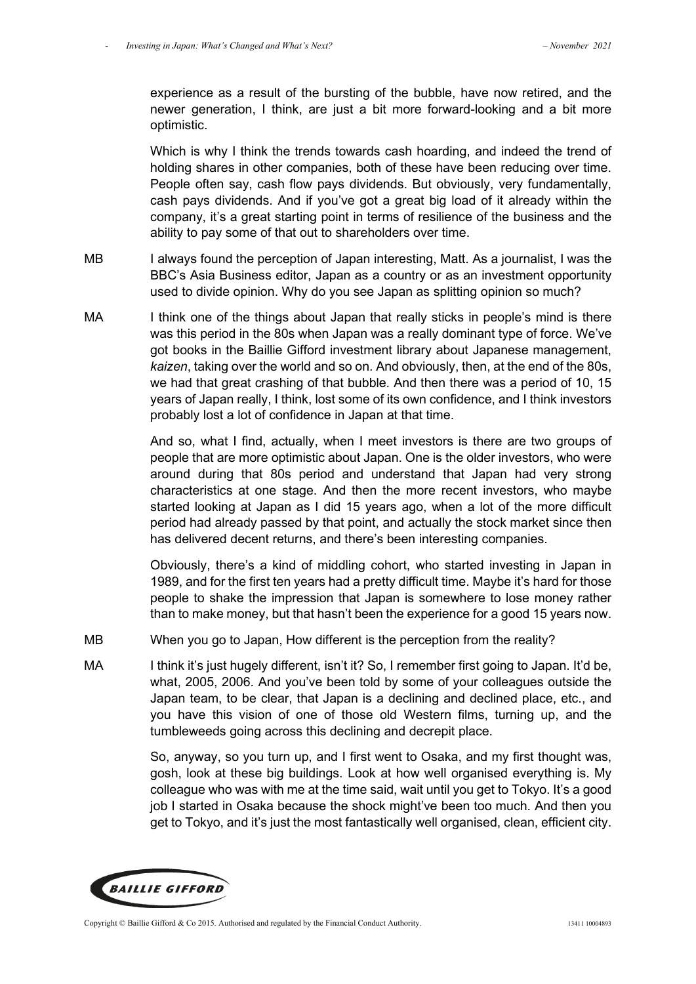experience as a result of the bursting of the bubble, have now retired, and the newer generation, I think, are just a bit more forward-looking and a bit more optimistic.

 Which is why I think the trends towards cash hoarding, and indeed the trend of holding shares in other companies, both of these have been reducing over time. People often say, cash flow pays dividends. But obviously, very fundamentally, cash pays dividends. And if you've got a great big load of it already within the company, it's a great starting point in terms of resilience of the business and the ability to pay some of that out to shareholders over time.

- MB I always found the perception of Japan interesting, Matt. As a journalist, I was the BBC's Asia Business editor, Japan as a country or as an investment opportunity used to divide opinion. Why do you see Japan as splitting opinion so much?
- MA I think one of the things about Japan that really sticks in people's mind is there was this period in the 80s when Japan was a really dominant type of force. We've got books in the Baillie Gifford investment library about Japanese management, *kaizen*, taking over the world and so on. And obviously, then, at the end of the 80s, we had that great crashing of that bubble. And then there was a period of 10, 15 years of Japan really, I think, lost some of its own confidence, and I think investors probably lost a lot of confidence in Japan at that time.

And so, what I find, actually, when I meet investors is there are two groups of people that are more optimistic about Japan. One is the older investors, who were around during that 80s period and understand that Japan had very strong characteristics at one stage. And then the more recent investors, who maybe started looking at Japan as I did 15 years ago, when a lot of the more difficult period had already passed by that point, and actually the stock market since then has delivered decent returns, and there's been interesting companies.

Obviously, there's a kind of middling cohort, who started investing in Japan in 1989, and for the first ten years had a pretty difficult time. Maybe it's hard for those people to shake the impression that Japan is somewhere to lose money rather than to make money, but that hasn't been the experience for a good 15 years now.

- MB When you go to Japan, How different is the perception from the reality?
- MA I think it's just hugely different, isn't it? So, I remember first going to Japan. It'd be, what, 2005, 2006. And you've been told by some of your colleagues outside the Japan team, to be clear, that Japan is a declining and declined place, etc., and you have this vision of one of those old Western films, turning up, and the tumbleweeds going across this declining and decrepit place.

So, anyway, so you turn up, and I first went to Osaka, and my first thought was, gosh, look at these big buildings. Look at how well organised everything is. My colleague who was with me at the time said, wait until you get to Tokyo. It's a good job I started in Osaka because the shock might've been too much. And then you get to Tokyo, and it's just the most fantastically well organised, clean, efficient city.

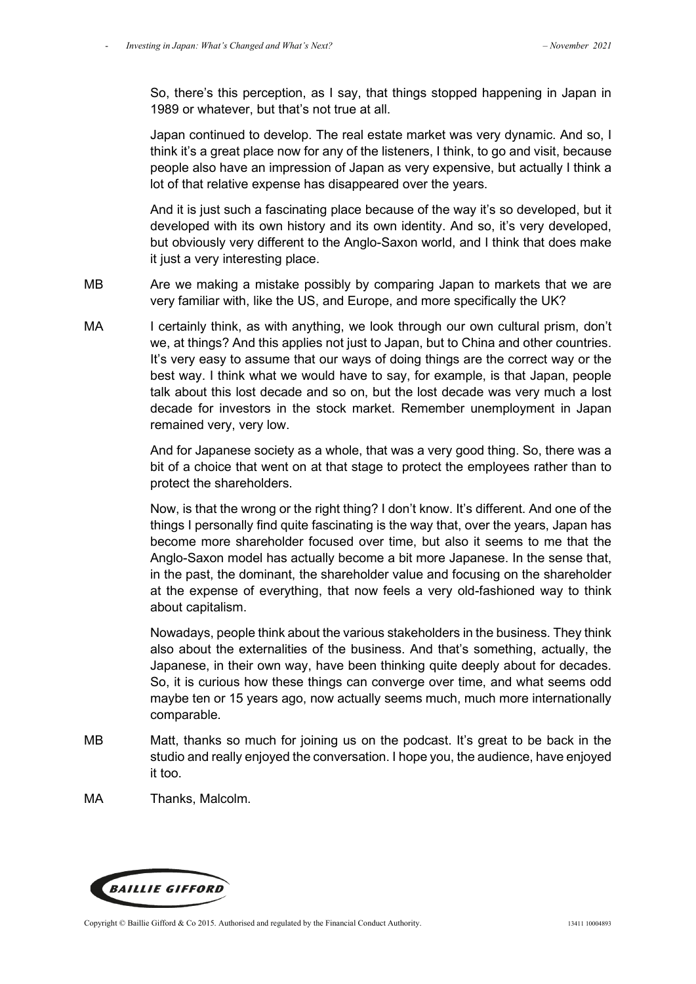So, there's this perception, as I say, that things stopped happening in Japan in 1989 or whatever, but that's not true at all.

Japan continued to develop. The real estate market was very dynamic. And so, I think it's a great place now for any of the listeners, I think, to go and visit, because people also have an impression of Japan as very expensive, but actually I think a lot of that relative expense has disappeared over the years.

And it is just such a fascinating place because of the way it's so developed, but it developed with its own history and its own identity. And so, it's very developed, but obviously very different to the Anglo-Saxon world, and I think that does make it just a very interesting place.

MB Are we making a mistake possibly by comparing Japan to markets that we are very familiar with, like the US, and Europe, and more specifically the UK?

MA I certainly think, as with anything, we look through our own cultural prism, don't we, at things? And this applies not just to Japan, but to China and other countries. It's very easy to assume that our ways of doing things are the correct way or the best way. I think what we would have to say, for example, is that Japan, people talk about this lost decade and so on, but the lost decade was very much a lost decade for investors in the stock market. Remember unemployment in Japan remained very, very low.

> And for Japanese society as a whole, that was a very good thing. So, there was a bit of a choice that went on at that stage to protect the employees rather than to protect the shareholders.

> Now, is that the wrong or the right thing? I don't know. It's different. And one of the things I personally find quite fascinating is the way that, over the years, Japan has become more shareholder focused over time, but also it seems to me that the Anglo-Saxon model has actually become a bit more Japanese. In the sense that, in the past, the dominant, the shareholder value and focusing on the shareholder at the expense of everything, that now feels a very old-fashioned way to think about capitalism.

> Nowadays, people think about the various stakeholders in the business. They think also about the externalities of the business. And that's something, actually, the Japanese, in their own way, have been thinking quite deeply about for decades. So, it is curious how these things can converge over time, and what seems odd maybe ten or 15 years ago, now actually seems much, much more internationally comparable.

- MB Matt, thanks so much for joining us on the podcast. It's great to be back in the studio and really enjoyed the conversation. I hope you, the audience, have enjoyed it too.
- MA Thanks, Malcolm.

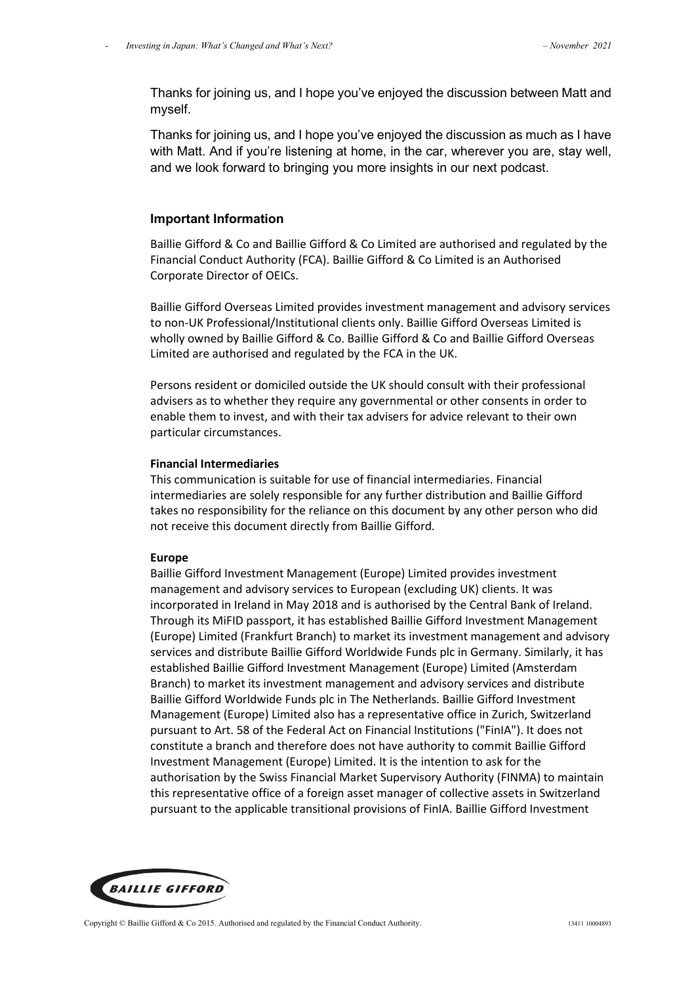Thanks for joining us, and I hope you've enjoyed the discussion between Matt and myself.

Thanks for joining us, and I hope you've enjoyed the discussion as much as I have with Matt. And if you're listening at home, in the car, wherever you are, stay well, and we look forward to bringing you more insights in our next podcast.

## **Important Information**

Baillie Gifford & Co and Baillie Gifford & Co Limited are authorised and regulated by the Financial Conduct Authority (FCA). Baillie Gifford & Co Limited is an Authorised Corporate Director of OEICs.

Baillie Gifford Overseas Limited provides investment management and advisory services to non-UK Professional/Institutional clients only. Baillie Gifford Overseas Limited is wholly owned by Baillie Gifford & Co. Baillie Gifford & Co and Baillie Gifford Overseas Limited are authorised and regulated by the FCA in the UK.

Persons resident or domiciled outside the UK should consult with their professional advisers as to whether they require any governmental or other consents in order to enable them to invest, and with their tax advisers for advice relevant to their own particular circumstances.

#### **Financial Intermediaries**

This communication is suitable for use of financial intermediaries. Financial intermediaries are solely responsible for any further distribution and Baillie Gifford takes no responsibility for the reliance on this document by any other person who did not receive this document directly from Baillie Gifford.

## **Europe**

Baillie Gifford Investment Management (Europe) Limited provides investment management and advisory services to European (excluding UK) clients. It was incorporated in Ireland in May 2018 and is authorised by the Central Bank of Ireland. Through its MiFID passport, it has established Baillie Gifford Investment Management (Europe) Limited (Frankfurt Branch) to market its investment management and advisory services and distribute Baillie Gifford Worldwide Funds plc in Germany. Similarly, it has established Baillie Gifford Investment Management (Europe) Limited (Amsterdam Branch) to market its investment management and advisory services and distribute Baillie Gifford Worldwide Funds plc in The Netherlands. Baillie Gifford Investment Management (Europe) Limited also has a representative office in Zurich, Switzerland pursuant to Art. 58 of the Federal Act on Financial Institutions ("FinIA"). It does not constitute a branch and therefore does not have authority to commit Baillie Gifford Investment Management (Europe) Limited. It is the intention to ask for the authorisation by the Swiss Financial Market Supervisory Authority (FINMA) to maintain this representative office of a foreign asset manager of collective assets in Switzerland pursuant to the applicable transitional provisions of FinIA. Baillie Gifford Investment

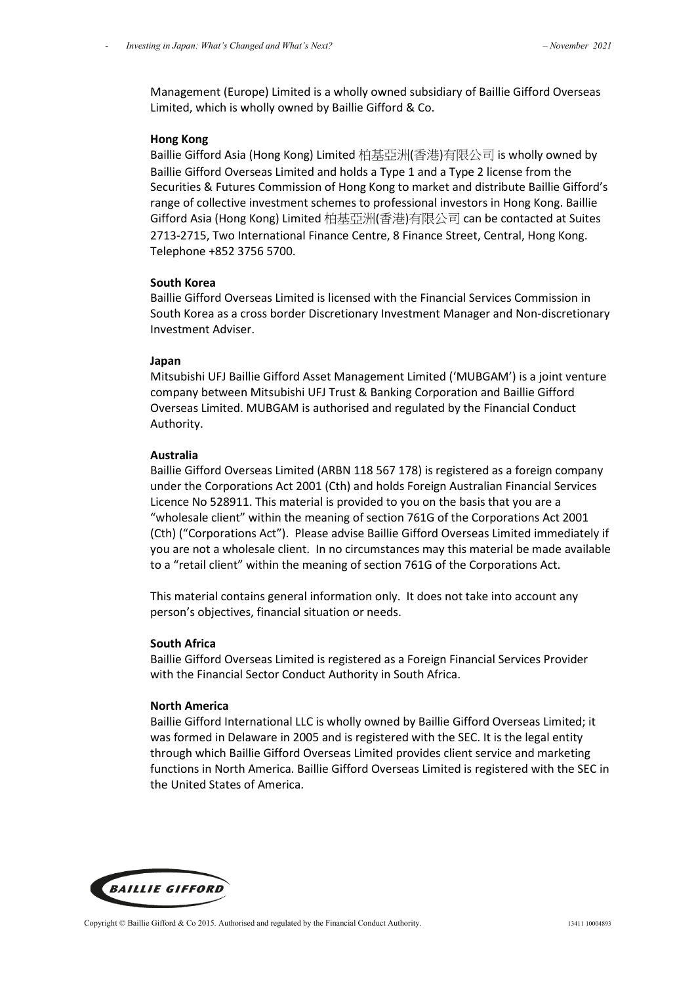Management (Europe) Limited is a wholly owned subsidiary of Baillie Gifford Overseas Limited, which is wholly owned by Baillie Gifford & Co.

## **Hong Kong**

Baillie Gifford Asia (Hong Kong) Limited 柏基亞洲(香港)有限公司 is wholly owned by Baillie Gifford Overseas Limited and holds a Type 1 and a Type 2 license from the Securities & Futures Commission of Hong Kong to market and distribute Baillie Gifford's range of collective investment schemes to professional investors in Hong Kong. Baillie Gifford Asia (Hong Kong) Limited 柏基亞洲(香港)有限公司 can be contacted at Suites 2713-2715, Two International Finance Centre, 8 Finance Street, Central, Hong Kong. Telephone +852 3756 5700.

## **South Korea**

Baillie Gifford Overseas Limited is licensed with the Financial Services Commission in South Korea as a cross border Discretionary Investment Manager and Non-discretionary Investment Adviser.

## **Japan**

Mitsubishi UFJ Baillie Gifford Asset Management Limited ('MUBGAM') is a joint venture company between Mitsubishi UFJ Trust & Banking Corporation and Baillie Gifford Overseas Limited. MUBGAM is authorised and regulated by the Financial Conduct Authority.

## **Australia**

Baillie Gifford Overseas Limited (ARBN 118 567 178) is registered as a foreign company under the Corporations Act 2001 (Cth) and holds Foreign Australian Financial Services Licence No 528911. This material is provided to you on the basis that you are a "wholesale client" within the meaning of section 761G of the Corporations Act 2001 (Cth) ("Corporations Act"). Please advise Baillie Gifford Overseas Limited immediately if you are not a wholesale client. In no circumstances may this material be made available to a "retail client" within the meaning of section 761G of the Corporations Act.

This material contains general information only. It does not take into account any person's objectives, financial situation or needs.

## **South Africa**

Baillie Gifford Overseas Limited is registered as a Foreign Financial Services Provider with the Financial Sector Conduct Authority in South Africa.

## **North America**

Baillie Gifford International LLC is wholly owned by Baillie Gifford Overseas Limited; it was formed in Delaware in 2005 and is registered with the SEC. It is the legal entity through which Baillie Gifford Overseas Limited provides client service and marketing functions in North America. Baillie Gifford Overseas Limited is registered with the SEC in the United States of America.